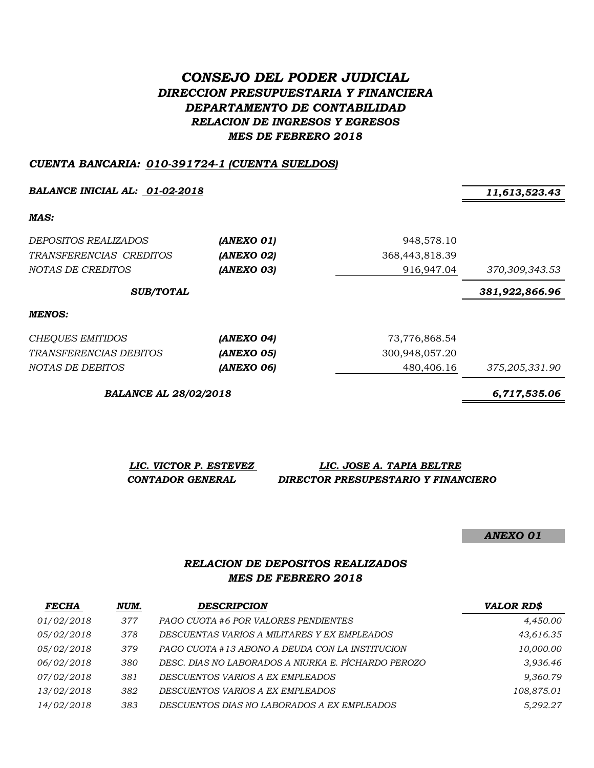# *CONSEJO DEL PODER JUDICIAL DIRECCION PRESUPUESTARIA Y FINANCIERA DEPARTAMENTO DE CONTABILIDAD RELACION DE INGRESOS Y EGRESOS MES DE FEBRERO 2018*

#### *CUENTA BANCARIA: 010-391724-1 (CUENTA SUELDOS)*

*BALANCE INICIAL AL: 01-02-2018 11,613,523.43*

*MAS:*

| <i>DEPOSITOS REALIZADOS</i>     | (ANEXO 01)               | 948,578.10     |                |
|---------------------------------|--------------------------|----------------|----------------|
| TRANSFERENCIAS CREDITOS         | (ANEXO 02)               | 368,443,818.39 |                |
| NOTAS DE CREDITOS               | (ANEXO 03)               | 916,947.04     | 370,309,343.53 |
| <b>SUB/TOTAL</b>                |                          |                | 381,922,866.96 |
| MENOS:                          |                          |                |                |
| CHEQUES EMITIDOS                | (ANEXO 04)               | 73,776,868.54  |                |
| <i>TDA MCCCDCMCIA C DCDITOC</i> | (ANDV <sub>O</sub> , OF) | 200.048.057.00 |                |

*TRANSFERENCIAS DEBITOS (ANEXO 05)* 300,948,057.20 *NOTAS DE DEBITOS (ANEXO 06)* 480,406.16 *375,205,331.90*

*BALANCE AL 28/02/2018 6,717,535.06*

| LIC. VICTOR P. ESTEVEZ | LIC. JOSE A. TAPIA BELTRE           |
|------------------------|-------------------------------------|
| CONTADOR GENERAL       | DIRECTOR PRESUPESTARIO Y FINANCIERO |

*ANEXO 01*

### *RELACION DE DEPOSITOS REALIZADOS MES DE FEBRERO 2018*

| <b>FECHA</b> | NUM. | <b>DESCRIPCION</b>                                  | <b>VALOR RD\$</b> |
|--------------|------|-----------------------------------------------------|-------------------|
| 01/02/2018   | 377  | PAGO CUOTA #6 POR VALORES PENDIENTES                | 4,450.00          |
| 05/02/2018   | 378  | DESCUENTAS VARIOS A MILITARES Y EX EMPLEADOS        | 43,616.35         |
| 05/02/2018   | 379  | PAGO CUOTA #13 ABONO A DEUDA CON LA INSTITUCION     | 10,000.00         |
| 06/02/2018   | 380  | DESC. DIAS NO LABORADOS A NIURKA E. PÍCHARDO PEROZO | 3,936.46          |
| 07/02/2018   | 381  | DESCUENTOS VARIOS A EX EMPLEADOS                    | 9,360.79          |
| 13/02/2018   | 382  | DESCUENTOS VARIOS A EX EMPLEADOS                    | 108,875.01        |
| 14/02/2018   | 383  | DESCUENTOS DIAS NO LABORADOS A EX EMPLEADOS         | 5,292.27          |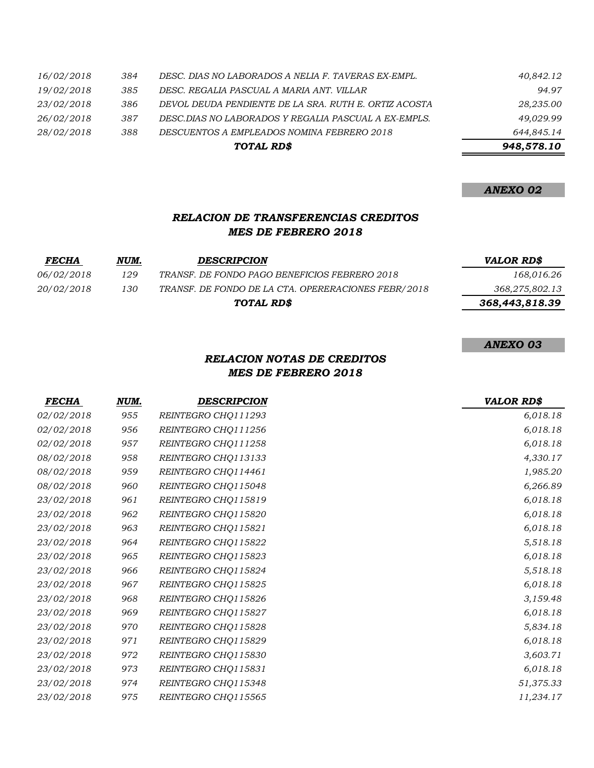|            |     | TOTAL RD\$                                            | 948,578.10 |
|------------|-----|-------------------------------------------------------|------------|
| 28/02/2018 | 388 | DESCUENTOS A EMPLEADOS NOMINA FEBRERO 2018            | 644,845.14 |
| 26/02/2018 | 387 | DESC.DIAS NO LABORADOS Y REGALIA PASCUAL A EX-EMPLS.  | 49.029.99  |
| 23/02/2018 | 386 | DEVOL DEUDA PENDIENTE DE LA SRA. RUTH E. ORTIZ ACOSTA | 28,235.00  |
| 19/02/2018 | 385 | DESC. REGALIA PASCUAL A MARIA ANT. VILLAR             | 94.97      |
| 16/02/2018 | 384 | DESC. DIAS NO LABORADOS A NELIA F. TAVERAS EX-EMPL.   | 40,842.12  |

#### *RELACION DE TRANSFERENCIAS CREDITOS MES DE FEBRERO 2018*

| <i>FECHA</i>      | NUM. | <b>DESCRIPCION</b>                                  | <b>VALOR RD\$</b> |
|-------------------|------|-----------------------------------------------------|-------------------|
| <i>06/02/2018</i> | 129  | TRANSF. DE FONDO PAGO BENEFICIOS FEBRERO 2018       | 168,016.26        |
| 20/02/2018        | 130  | TRANSF. DE FONDO DE LA CTA. OPERERACIONES FEBR/2018 | 368,275,802.13    |
|                   |      | TOTAL RD\$                                          | 368,443,818.39    |

#### *ANEXO 03*

## *RELACION NOTAS DE CREDITOS MES DE FEBRERO 2018*

| <b>FECHA</b> | NUM. | <b>DESCRIPCION</b>  | <b>VALOR RD\$</b> |
|--------------|------|---------------------|-------------------|
| 02/02/2018   | 955  | REINTEGRO CHQ111293 | 6,018.18          |
| 02/02/2018   | 956  | REINTEGRO CHQ111256 | 6,018.18          |
| 02/02/2018   | 957  | REINTEGRO CHQ111258 | 6,018.18          |
| 08/02/2018   | 958  | REINTEGRO CHQ113133 | 4,330.17          |
| 08/02/2018   | 959  | REINTEGRO CHQ114461 | 1,985.20          |
| 08/02/2018   | 960  | REINTEGRO CHQ115048 | 6,266.89          |
| 23/02/2018   | 961  | REINTEGRO CHQ115819 | 6,018.18          |
| 23/02/2018   | 962  | REINTEGRO CHQ115820 | 6,018.18          |
| 23/02/2018   | 963  | REINTEGRO CHQ115821 | 6,018.18          |
| 23/02/2018   | 964  | REINTEGRO CHQ115822 | 5,518.18          |
| 23/02/2018   | 965  | REINTEGRO CHQ115823 | 6,018.18          |
| 23/02/2018   | 966  | REINTEGRO CHQ115824 | 5,518.18          |
| 23/02/2018   | 967  | REINTEGRO CHQ115825 | 6,018.18          |
| 23/02/2018   | 968  | REINTEGRO CHQ115826 | 3,159.48          |
| 23/02/2018   | 969  | REINTEGRO CHQ115827 | 6,018.18          |
| 23/02/2018   | 970  | REINTEGRO CHQ115828 | 5,834.18          |
| 23/02/2018   | 971  | REINTEGRO CHQ115829 | 6,018.18          |
| 23/02/2018   | 972  | REINTEGRO CHQ115830 | 3,603.71          |
| 23/02/2018   | 973  | REINTEGRO CHQ115831 | 6,018.18          |
| 23/02/2018   | 974  | REINTEGRO CHQ115348 | 51,375.33         |
| 23/02/2018   | 975  | REINTEGRO CHQ115565 | 11,234.17         |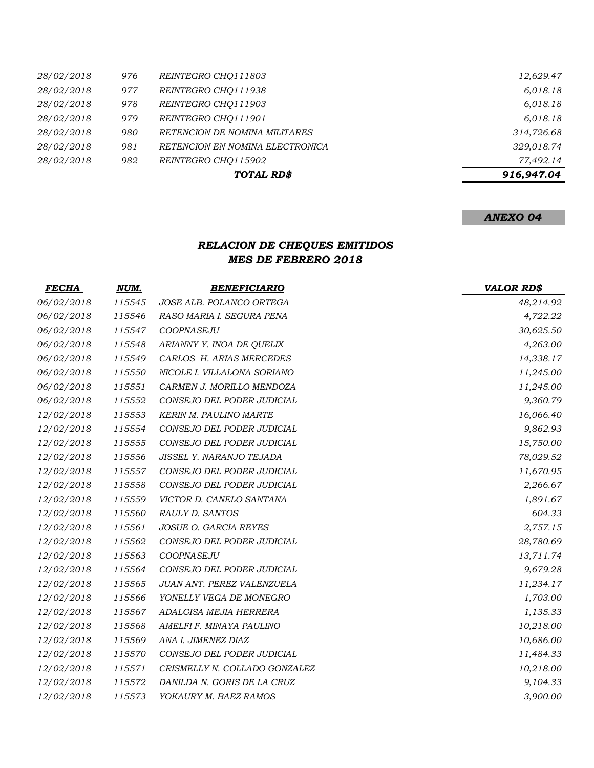|            |     | TOTAL RD\$                      | 916,947.04 |
|------------|-----|---------------------------------|------------|
| 28/02/2018 | 982 | REINTEGRO CHO115902             | 77.492.14  |
| 28/02/2018 | 981 | RETENCION EN NOMINA ELECTRONICA | 329,018.74 |
| 28/02/2018 | 980 | RETENCION DE NOMINA MILITARES   | 314,726.68 |
| 28/02/2018 | 979 | REINTEGRO CHO111901             | 6,018.18   |
| 28/02/2018 | 978 | REINTEGRO CHO111903             | 6,018.18   |
| 28/02/2018 | 977 | REINTEGRO CHO111938             | 6,018.18   |
| 28/02/2018 | 976 | REINTEGRO CHO111803             | 12,629.47  |

# *RELACION DE CHEQUES EMITIDOS MES DE FEBRERO 2018*

| <b>FECHA</b> | NUM.   | <b>BENEFICIARIO</b>           | <b>VALOR RD\$</b> |
|--------------|--------|-------------------------------|-------------------|
| 06/02/2018   | 115545 | JOSE ALB. POLANCO ORTEGA      | 48,214.92         |
| 06/02/2018   | 115546 | RASO MARIA I. SEGURA PENA     | 4,722.22          |
| 06/02/2018   | 115547 | COOPNASEJU                    | 30,625.50         |
| 06/02/2018   | 115548 | ARIANNY Y. INOA DE QUELIX     | 4,263.00          |
| 06/02/2018   | 115549 | CARLOS H. ARIAS MERCEDES      | 14,338.17         |
| 06/02/2018   | 115550 | NICOLE I. VILLALONA SORIANO   | 11,245.00         |
| 06/02/2018   | 115551 | CARMEN J. MORILLO MENDOZA     | 11,245.00         |
| 06/02/2018   | 115552 | CONSEJO DEL PODER JUDICIAL    | 9,360.79          |
| 12/02/2018   | 115553 | <b>KERIN M. PAULINO MARTE</b> | 16,066.40         |
| 12/02/2018   | 115554 | CONSEJO DEL PODER JUDICIAL    | 9,862.93          |
| 12/02/2018   | 115555 | CONSEJO DEL PODER JUDICIAL    | 15,750.00         |
| 12/02/2018   | 115556 | JISSEL Y. NARANJO TEJADA      | 78,029.52         |
| 12/02/2018   | 115557 | CONSEJO DEL PODER JUDICIAL    | 11,670.95         |
| 12/02/2018   | 115558 | CONSEJO DEL PODER JUDICIAL    | 2,266.67          |
| 12/02/2018   | 115559 | VICTOR D. CANELO SANTANA      | 1,891.67          |
| 12/02/2018   | 115560 | RAULY D. SANTOS               | 604.33            |
| 12/02/2018   | 115561 | <b>JOSUE O. GARCIA REYES</b>  | 2,757.15          |
| 12/02/2018   | 115562 | CONSEJO DEL PODER JUDICIAL    | 28,780.69         |
| 12/02/2018   | 115563 | COOPNASEJU                    | 13,711.74         |
| 12/02/2018   | 115564 | CONSEJO DEL PODER JUDICIAL    | 9,679.28          |
| 12/02/2018   | 115565 | JUAN ANT. PEREZ VALENZUELA    | 11,234.17         |
| 12/02/2018   | 115566 | YONELLY VEGA DE MONEGRO       | 1,703.00          |
| 12/02/2018   | 115567 | ADALGISA MEJIA HERRERA        | 1,135.33          |
| 12/02/2018   | 115568 | AMELFI F. MINAYA PAULINO      | 10,218.00         |
| 12/02/2018   | 115569 | ANA I. JIMENEZ DIAZ           | 10,686.00         |
| 12/02/2018   | 115570 | CONSEJO DEL PODER JUDICIAL    | 11,484.33         |
| 12/02/2018   | 115571 | CRISMELLY N. COLLADO GONZALEZ | 10,218.00         |
| 12/02/2018   | 115572 | DANILDA N. GORIS DE LA CRUZ   | 9,104.33          |
| 12/02/2018   | 115573 | YOKAURY M. BAEZ RAMOS         | 3,900.00          |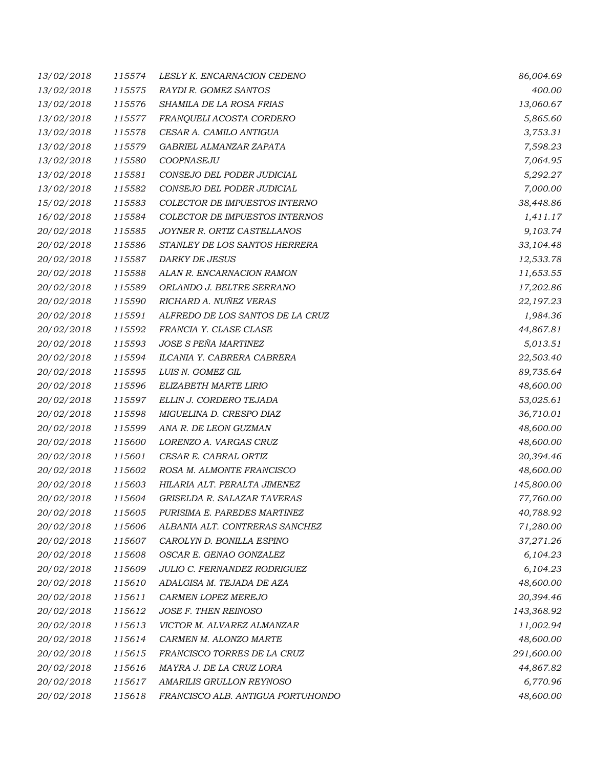| 13/02/2018 | 115574 | LESLY K. ENCARNACION CEDENO       | 86,004.69  |
|------------|--------|-----------------------------------|------------|
| 13/02/2018 | 115575 | RAYDI R. GOMEZ SANTOS             | 400.00     |
| 13/02/2018 | 115576 | SHAMILA DE LA ROSA FRIAS          | 13,060.67  |
| 13/02/2018 | 115577 | FRANQUELI ACOSTA CORDERO          | 5,865.60   |
| 13/02/2018 | 115578 | CESAR A. CAMILO ANTIGUA           | 3,753.31   |
| 13/02/2018 | 115579 | GABRIEL ALMANZAR ZAPATA           | 7,598.23   |
| 13/02/2018 | 115580 | COOPNASEJU                        | 7,064.95   |
| 13/02/2018 | 115581 | CONSEJO DEL PODER JUDICIAL        | 5,292.27   |
| 13/02/2018 | 115582 | CONSEJO DEL PODER JUDICIAL        | 7,000.00   |
| 15/02/2018 | 115583 | COLECTOR DE IMPUESTOS INTERNO     | 38,448.86  |
| 16/02/2018 | 115584 | COLECTOR DE IMPUESTOS INTERNOS    | 1,411.17   |
| 20/02/2018 | 115585 | JOYNER R. ORTIZ CASTELLANOS       | 9,103.74   |
| 20/02/2018 | 115586 | STANLEY DE LOS SANTOS HERRERA     | 33,104.48  |
| 20/02/2018 | 115587 | <b>DARKY DE JESUS</b>             | 12,533.78  |
| 20/02/2018 | 115588 | ALAN R. ENCARNACION RAMON         | 11,653.55  |
| 20/02/2018 | 115589 | ORLANDO J. BELTRE SERRANO         | 17,202.86  |
| 20/02/2018 | 115590 | RICHARD A. NUÑEZ VERAS            | 22,197.23  |
| 20/02/2018 | 115591 | ALFREDO DE LOS SANTOS DE LA CRUZ  | 1,984.36   |
| 20/02/2018 | 115592 | FRANCIA Y. CLASE CLASE            | 44,867.81  |
| 20/02/2018 | 115593 | JOSE S PEÑA MARTINEZ              | 5,013.51   |
| 20/02/2018 | 115594 | ILCANIA Y. CABRERA CABRERA        | 22,503.40  |
| 20/02/2018 | 115595 | LUIS N. GOMEZ GIL                 | 89,735.64  |
| 20/02/2018 | 115596 | ELIZABETH MARTE LIRIO             | 48,600.00  |
| 20/02/2018 | 115597 | ELLIN J. CORDERO TEJADA           | 53,025.61  |
| 20/02/2018 | 115598 | MIGUELINA D. CRESPO DIAZ          | 36,710.01  |
| 20/02/2018 | 115599 | ANA R. DE LEON GUZMAN             | 48,600.00  |
| 20/02/2018 | 115600 | LORENZO A. VARGAS CRUZ            | 48,600.00  |
| 20/02/2018 | 115601 | CESAR E. CABRAL ORTIZ             | 20,394.46  |
| 20/02/2018 | 115602 | ROSA M. ALMONTE FRANCISCO         | 48,600.00  |
| 20/02/2018 | 115603 | HILARIA ALT. PERALTA JIMENEZ      | 145,800.00 |
| 20/02/2018 | 115604 | GRISELDA R. SALAZAR TAVERAS       | 77,760.00  |
| 20/02/2018 | 115605 | PURISIMA E. PAREDES MARTINEZ      | 40,788.92  |
| 20/02/2018 | 115606 | ALBANIA ALT. CONTRERAS SANCHEZ    | 71,280.00  |
| 20/02/2018 | 115607 | CAROLYN D. BONILLA ESPINO         | 37,271.26  |
| 20/02/2018 | 115608 | OSCAR E. GENAO GONZALEZ           | 6,104.23   |
| 20/02/2018 | 115609 | JULIO C. FERNANDEZ RODRIGUEZ      | 6,104.23   |
| 20/02/2018 | 115610 | ADALGISA M. TEJADA DE AZA         | 48,600.00  |
| 20/02/2018 | 115611 | CARMEN LOPEZ MEREJO               | 20,394.46  |
| 20/02/2018 | 115612 | JOSE F. THEN REINOSO              | 143,368.92 |
| 20/02/2018 | 115613 | VICTOR M. ALVAREZ ALMANZAR        | 11,002.94  |
| 20/02/2018 | 115614 | CARMEN M. ALONZO MARTE            | 48,600.00  |
| 20/02/2018 | 115615 | FRANCISCO TORRES DE LA CRUZ       | 291,600.00 |
| 20/02/2018 | 115616 | MAYRA J. DE LA CRUZ LORA          | 44,867.82  |
| 20/02/2018 | 115617 | AMARILIS GRULLON REYNOSO          | 6,770.96   |
| 20/02/2018 | 115618 | FRANCISCO ALB. ANTIGUA PORTUHONDO | 48,600.00  |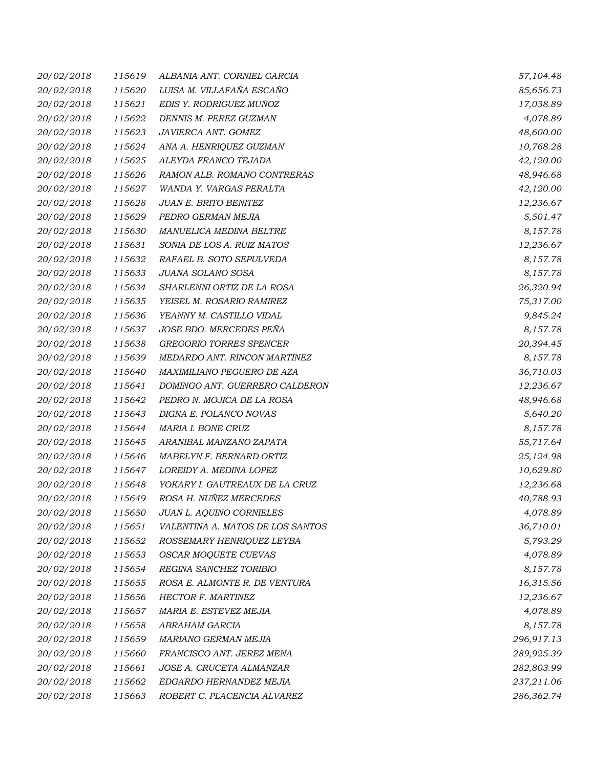| 20/02/2018 | 115619 | ALBANIA ANT. CORNIEL GARCIA      | 57,104.48  |
|------------|--------|----------------------------------|------------|
| 20/02/2018 | 115620 | LUISA M. VILLAFAÑA ESCAÑO        | 85,656.73  |
| 20/02/2018 | 115621 | EDIS Y. RODRIGUEZ MUÑOZ          | 17,038.89  |
| 20/02/2018 | 115622 | DENNIS M. PEREZ GUZMAN           | 4,078.89   |
| 20/02/2018 | 115623 | JAVIERCA ANT. GOMEZ              | 48,600.00  |
| 20/02/2018 | 115624 | ANA A. HENRIQUEZ GUZMAN          | 10,768.28  |
| 20/02/2018 | 115625 | ALEYDA FRANCO TEJADA             | 42,120.00  |
| 20/02/2018 | 115626 | RAMON ALB. ROMANO CONTRERAS      | 48,946.68  |
| 20/02/2018 | 115627 | WANDA Y. VARGAS PERALTA          | 42,120.00  |
| 20/02/2018 | 115628 | JUAN E. BRITO BENITEZ            | 12,236.67  |
| 20/02/2018 | 115629 | PEDRO GERMAN MEJIA               | 5,501.47   |
| 20/02/2018 | 115630 | MANUELICA MEDINA BELTRE          | 8,157.78   |
| 20/02/2018 | 115631 | SONIA DE LOS A. RUIZ MATOS       | 12,236.67  |
| 20/02/2018 | 115632 | RAFAEL B. SOTO SEPULVEDA         | 8,157.78   |
| 20/02/2018 | 115633 | JUANA SOLANO SOSA                | 8,157.78   |
| 20/02/2018 | 115634 | SHARLENNI ORTIZ DE LA ROSA       | 26,320.94  |
| 20/02/2018 | 115635 | YEISEL M. ROSARIO RAMIREZ        | 75,317.00  |
| 20/02/2018 | 115636 | YEANNY M. CASTILLO VIDAL         | 9,845.24   |
| 20/02/2018 | 115637 | JOSE BDO. MERCEDES PEÑA          | 8,157.78   |
| 20/02/2018 | 115638 | <b>GREGORIO TORRES SPENCER</b>   | 20,394.45  |
| 20/02/2018 | 115639 | MEDARDO ANT. RINCON MARTINEZ     | 8,157.78   |
| 20/02/2018 | 115640 | MAXIMILIANO PEGUERO DE AZA       | 36,710.03  |
| 20/02/2018 | 115641 | DOMINGO ANT. GUERRERO CALDERON   | 12,236.67  |
| 20/02/2018 | 115642 | PEDRO N. MOJICA DE LA ROSA       | 48,946.68  |
| 20/02/2018 | 115643 | DIGNA E. POLANCO NOVAS           | 5,640.20   |
| 20/02/2018 | 115644 | MARIA I. BONE CRUZ               | 8,157.78   |
| 20/02/2018 | 115645 | ARANIBAL MANZANO ZAPATA          | 55,717.64  |
| 20/02/2018 | 115646 | MABELYN F. BERNARD ORTIZ         | 25,124.98  |
| 20/02/2018 | 115647 | LOREIDY A. MEDINA LOPEZ          | 10,629.80  |
| 20/02/2018 | 115648 | YOKARY I. GAUTREAUX DE LA CRUZ   | 12,236.68  |
| 20/02/2018 | 115649 | ROSA H. NUÑEZ MERCEDES           | 40,788.93  |
| 20/02/2018 | 115650 | <b>JUAN L. AQUINO CORNIELES</b>  | 4,078.89   |
| 20/02/2018 | 115651 | VALENTINA A. MATOS DE LOS SANTOS | 36,710.01  |
| 20/02/2018 | 115652 | ROSSEMARY HENRIQUEZ LEYBA        | 5,793.29   |
| 20/02/2018 | 115653 | OSCAR MOQUETE CUEVAS             | 4,078.89   |
| 20/02/2018 | 115654 | REGINA SANCHEZ TORIBIO           | 8,157.78   |
| 20/02/2018 | 115655 | ROSA E. ALMONTE R. DE VENTURA    | 16,315.56  |
| 20/02/2018 | 115656 | HECTOR F. MARTINEZ               | 12,236.67  |
| 20/02/2018 | 115657 | MARIA E. ESTEVEZ MEJIA           | 4,078.89   |
| 20/02/2018 | 115658 | ABRAHAM GARCIA                   | 8,157.78   |
| 20/02/2018 | 115659 | MARIANO GERMAN MEJIA             | 296,917.13 |
| 20/02/2018 | 115660 | FRANCISCO ANT. JEREZ MENA        | 289,925.39 |
| 20/02/2018 | 115661 | JOSE A. CRUCETA ALMANZAR         | 282,803.99 |
| 20/02/2018 | 115662 | EDGARDO HERNANDEZ MEJIA          | 237,211.06 |
| 20/02/2018 | 115663 | ROBERT C. PLACENCIA ALVAREZ      | 286,362.74 |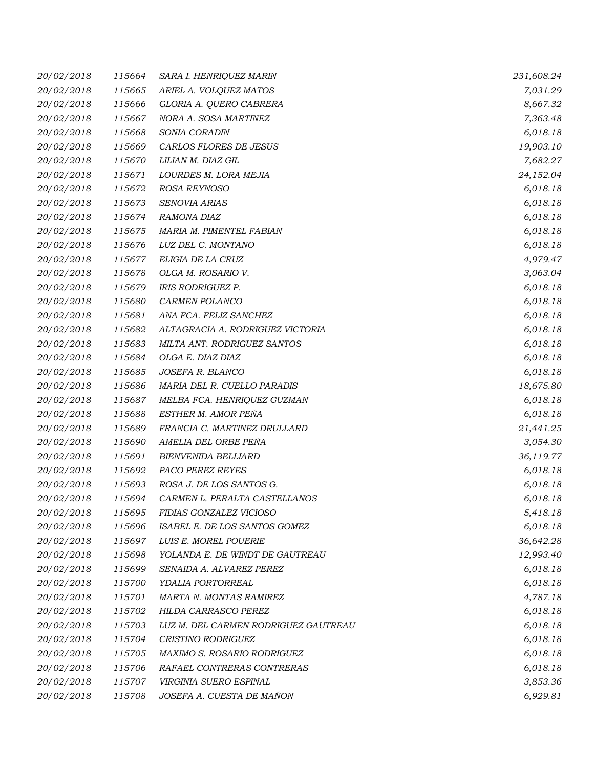| 20/02/2018 | 115664 | SARA I. HENRIQUEZ MARIN              | 231,608.24 |
|------------|--------|--------------------------------------|------------|
| 20/02/2018 | 115665 | ARIEL A. VOLQUEZ MATOS               | 7,031.29   |
| 20/02/2018 | 115666 | GLORIA A. QUERO CABRERA              | 8,667.32   |
| 20/02/2018 | 115667 | NORA A. SOSA MARTINEZ                | 7,363.48   |
| 20/02/2018 | 115668 | SONIA CORADIN                        | 6,018.18   |
| 20/02/2018 | 115669 | CARLOS FLORES DE JESUS               | 19,903.10  |
| 20/02/2018 | 115670 | LILIAN M. DIAZ GIL                   | 7,682.27   |
| 20/02/2018 | 115671 | LOURDES M. LORA MEJIA                | 24,152.04  |
| 20/02/2018 | 115672 | ROSA REYNOSO                         | 6,018.18   |
| 20/02/2018 | 115673 | SENOVIA ARIAS                        | 6,018.18   |
| 20/02/2018 | 115674 | RAMONA DIAZ                          | 6,018.18   |
| 20/02/2018 | 115675 | MARIA M. PIMENTEL FABIAN             | 6,018.18   |
| 20/02/2018 | 115676 | LUZ DEL C. MONTANO                   | 6,018.18   |
| 20/02/2018 | 115677 | ELIGIA DE LA CRUZ                    | 4,979.47   |
| 20/02/2018 | 115678 | OLGA M. ROSARIO V.                   | 3,063.04   |
| 20/02/2018 | 115679 | <b>IRIS RODRIGUEZ P.</b>             | 6,018.18   |
| 20/02/2018 | 115680 | CARMEN POLANCO                       | 6,018.18   |
| 20/02/2018 | 115681 | ANA FCA. FELIZ SANCHEZ               | 6,018.18   |
| 20/02/2018 | 115682 | ALTAGRACIA A. RODRIGUEZ VICTORIA     | 6,018.18   |
| 20/02/2018 | 115683 | MILTA ANT. RODRIGUEZ SANTOS          | 6,018.18   |
| 20/02/2018 | 115684 | OLGA E. DIAZ DIAZ                    | 6,018.18   |
| 20/02/2018 | 115685 | JOSEFA R. BLANCO                     | 6,018.18   |
| 20/02/2018 | 115686 | MARIA DEL R. CUELLO PARADIS          | 18,675.80  |
| 20/02/2018 | 115687 | MELBA FCA. HENRIQUEZ GUZMAN          | 6,018.18   |
| 20/02/2018 | 115688 | ESTHER M. AMOR PEÑA                  | 6,018.18   |
| 20/02/2018 | 115689 | FRANCIA C. MARTINEZ DRULLARD         | 21,441.25  |
| 20/02/2018 | 115690 | AMELIA DEL ORBE PEÑA                 | 3,054.30   |
| 20/02/2018 | 115691 | <b>BIENVENIDA BELLIARD</b>           | 36,119.77  |
| 20/02/2018 | 115692 | PACO PEREZ REYES                     | 6,018.18   |
| 20/02/2018 | 115693 | ROSA J. DE LOS SANTOS G.             | 6,018.18   |
| 20/02/2018 | 115694 | CARMEN L. PERALTA CASTELLANOS        | 6,018.18   |
| 20/02/2018 | 115695 | FIDIAS GONZALEZ VICIOSO              | 5,418.18   |
| 20/02/2018 | 115696 | ISABEL E. DE LOS SANTOS GOMEZ        | 6,018.18   |
| 20/02/2018 | 115697 | LUIS E. MOREL POUERIE                | 36,642.28  |
| 20/02/2018 | 115698 | YOLANDA E. DE WINDT DE GAUTREAU      | 12,993.40  |
| 20/02/2018 | 115699 | SENAIDA A. ALVAREZ PEREZ             | 6,018.18   |
| 20/02/2018 | 115700 | YDALIA PORTORREAL                    | 6,018.18   |
| 20/02/2018 | 115701 | MARTA N. MONTAS RAMIREZ              | 4,787.18   |
| 20/02/2018 | 115702 | HILDA CARRASCO PEREZ                 | 6,018.18   |
| 20/02/2018 | 115703 | LUZ M. DEL CARMEN RODRIGUEZ GAUTREAU | 6,018.18   |
| 20/02/2018 | 115704 | CRISTINO RODRIGUEZ                   | 6,018.18   |
| 20/02/2018 | 115705 | MAXIMO S. ROSARIO RODRIGUEZ          | 6,018.18   |
| 20/02/2018 | 115706 | RAFAEL CONTRERAS CONTRERAS           | 6,018.18   |
| 20/02/2018 | 115707 | VIRGINIA SUERO ESPINAL               | 3,853.36   |
| 20/02/2018 | 115708 | JOSEFA A. CUESTA DE MAÑON            | 6,929.81   |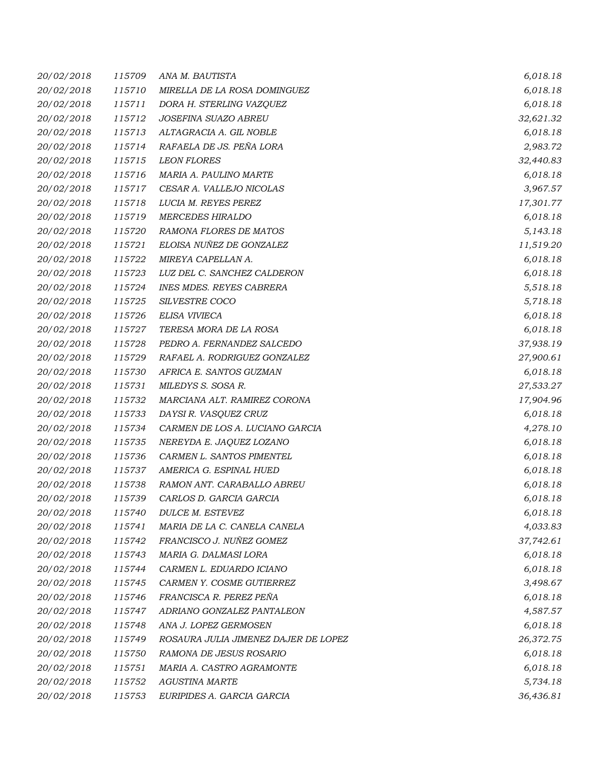| 20/02/2018 | 115709 | ANA M. BAUTISTA                      | 6,018.18  |
|------------|--------|--------------------------------------|-----------|
| 20/02/2018 | 115710 | MIRELLA DE LA ROSA DOMINGUEZ         | 6,018.18  |
| 20/02/2018 | 115711 | DORA H. STERLING VAZQUEZ             | 6,018.18  |
| 20/02/2018 | 115712 | JOSEFINA SUAZO ABREU                 | 32,621.32 |
| 20/02/2018 | 115713 | ALTAGRACIA A. GIL NOBLE              | 6,018.18  |
| 20/02/2018 | 115714 | RAFAELA DE JS. PEÑA LORA             | 2,983.72  |
| 20/02/2018 | 115715 | <b>LEON FLORES</b>                   | 32,440.83 |
| 20/02/2018 | 115716 | MARIA A. PAULINO MARTE               | 6,018.18  |
| 20/02/2018 | 115717 | CESAR A. VALLEJO NICOLAS             | 3,967.57  |
| 20/02/2018 | 115718 | LUCIA M. REYES PEREZ                 | 17,301.77 |
| 20/02/2018 | 115719 | <b>MERCEDES HIRALDO</b>              | 6,018.18  |
| 20/02/2018 | 115720 | RAMONA FLORES DE MATOS               | 5,143.18  |
| 20/02/2018 | 115721 | ELOISA NUÑEZ DE GONZALEZ             | 11,519.20 |
| 20/02/2018 | 115722 | MIREYA CAPELLAN A.                   | 6,018.18  |
| 20/02/2018 | 115723 | LUZ DEL C. SANCHEZ CALDERON          | 6,018.18  |
| 20/02/2018 | 115724 | <b>INES MDES. REYES CABRERA</b>      | 5,518.18  |
| 20/02/2018 | 115725 | SILVESTRE COCO                       | 5,718.18  |
| 20/02/2018 | 115726 | ELISA VIVIECA                        | 6,018.18  |
| 20/02/2018 | 115727 | TERESA MORA DE LA ROSA               | 6,018.18  |
| 20/02/2018 | 115728 | PEDRO A. FERNANDEZ SALCEDO           | 37,938.19 |
| 20/02/2018 | 115729 | RAFAEL A. RODRIGUEZ GONZALEZ         | 27,900.61 |
| 20/02/2018 | 115730 | AFRICA E. SANTOS GUZMAN              | 6,018.18  |
| 20/02/2018 | 115731 | MILEDYS S. SOSA R.                   | 27,533.27 |
| 20/02/2018 | 115732 | MARCIANA ALT. RAMIREZ CORONA         | 17,904.96 |
| 20/02/2018 | 115733 | DAYSI R. VASQUEZ CRUZ                | 6,018.18  |
| 20/02/2018 | 115734 | CARMEN DE LOS A. LUCIANO GARCIA      | 4,278.10  |
| 20/02/2018 | 115735 | NEREYDA E. JAQUEZ LOZANO             | 6,018.18  |
| 20/02/2018 | 115736 | CARMEN L. SANTOS PIMENTEL            | 6,018.18  |
| 20/02/2018 | 115737 | AMERICA G. ESPINAL HUED              | 6,018.18  |
| 20/02/2018 | 115738 | RAMON ANT. CARABALLO ABREU           | 6,018.18  |
| 20/02/2018 | 115739 | CARLOS D. GARCIA GARCIA              | 6,018.18  |
| 20/02/2018 | 115740 | DULCE M. ESTEVEZ                     | 6,018.18  |
| 20/02/2018 | 115741 | MARIA DE LA C. CANELA CANELA         | 4,033.83  |
| 20/02/2018 | 115742 | FRANCISCO J. NUÑEZ GOMEZ             | 37,742.61 |
| 20/02/2018 | 115743 | MARIA G. DALMASI LORA                | 6,018.18  |
| 20/02/2018 | 115744 | CARMEN L. EDUARDO ICIANO             | 6,018.18  |
| 20/02/2018 | 115745 | CARMEN Y. COSME GUTIERREZ            | 3,498.67  |
| 20/02/2018 | 115746 | FRANCISCA R. PEREZ PEÑA              | 6,018.18  |
| 20/02/2018 | 115747 | ADRIANO GONZALEZ PANTALEON           | 4,587.57  |
| 20/02/2018 | 115748 | ANA J. LOPEZ GERMOSEN                | 6,018.18  |
| 20/02/2018 | 115749 | ROSAURA JULIA JIMENEZ DAJER DE LOPEZ | 26,372.75 |
| 20/02/2018 | 115750 | RAMONA DE JESUS ROSARIO              | 6,018.18  |
| 20/02/2018 | 115751 | MARIA A. CASTRO AGRAMONTE            | 6,018.18  |
| 20/02/2018 | 115752 | <b>AGUSTINA MARTE</b>                | 5,734.18  |
| 20/02/2018 | 115753 | EURIPIDES A. GARCIA GARCIA           | 36,436.81 |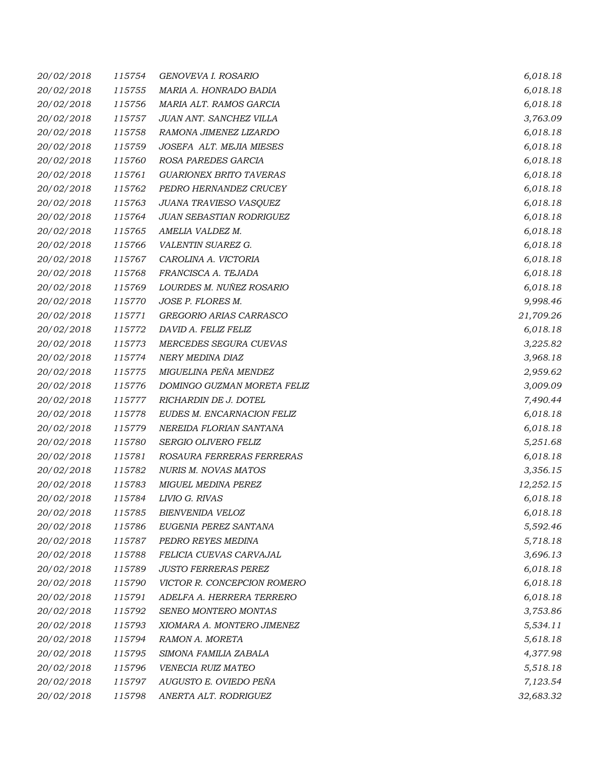| 20/02/2018 | 115754 | GENOVEVA I. ROSARIO             | 6,018.18  |
|------------|--------|---------------------------------|-----------|
| 20/02/2018 | 115755 | MARIA A. HONRADO BADIA          | 6,018.18  |
| 20/02/2018 | 115756 | MARIA ALT. RAMOS GARCIA         | 6,018.18  |
| 20/02/2018 | 115757 | JUAN ANT. SANCHEZ VILLA         | 3,763.09  |
| 20/02/2018 | 115758 | RAMONA JIMENEZ LIZARDO          | 6,018.18  |
| 20/02/2018 | 115759 | JOSEFA ALT. MEJIA MIESES        | 6,018.18  |
| 20/02/2018 | 115760 | ROSA PAREDES GARCIA             | 6,018.18  |
| 20/02/2018 | 115761 | <b>GUARIONEX BRITO TAVERAS</b>  | 6,018.18  |
| 20/02/2018 | 115762 | PEDRO HERNANDEZ CRUCEY          | 6,018.18  |
| 20/02/2018 | 115763 | JUANA TRAVIESO VASQUEZ          | 6,018.18  |
| 20/02/2018 | 115764 | <b>JUAN SEBASTIAN RODRIGUEZ</b> | 6,018.18  |
| 20/02/2018 | 115765 | AMELIA VALDEZ M.                | 6,018.18  |
| 20/02/2018 | 115766 | VALENTIN SUAREZ G.              | 6,018.18  |
| 20/02/2018 | 115767 | CAROLINA A. VICTORIA            | 6,018.18  |
| 20/02/2018 | 115768 | FRANCISCA A. TEJADA             | 6,018.18  |
| 20/02/2018 | 115769 | LOURDES M. NUÑEZ ROSARIO        | 6,018.18  |
| 20/02/2018 | 115770 | JOSE P. FLORES M.               | 9,998.46  |
| 20/02/2018 | 115771 | GREGORIO ARIAS CARRASCO         | 21,709.26 |
| 20/02/2018 | 115772 | DAVID A. FELIZ FELIZ            | 6,018.18  |
| 20/02/2018 | 115773 | MERCEDES SEGURA CUEVAS          | 3,225.82  |
| 20/02/2018 | 115774 | NERY MEDINA DIAZ                | 3,968.18  |
| 20/02/2018 | 115775 | MIGUELINA PEÑA MENDEZ           | 2,959.62  |
| 20/02/2018 | 115776 | DOMINGO GUZMAN MORETA FELIZ     | 3,009.09  |
| 20/02/2018 | 115777 | RICHARDIN DE J. DOTEL           | 7,490.44  |
| 20/02/2018 | 115778 | EUDES M. ENCARNACION FELIZ      | 6,018.18  |
| 20/02/2018 | 115779 | NEREIDA FLORIAN SANTANA         | 6,018.18  |
| 20/02/2018 | 115780 | SERGIO OLIVERO FELIZ            | 5,251.68  |
| 20/02/2018 | 115781 | ROSAURA FERRERAS FERRERAS       | 6,018.18  |
| 20/02/2018 | 115782 | NURIS M. NOVAS MATOS            | 3,356.15  |
| 20/02/2018 | 115783 | MIGUEL MEDINA PEREZ             | 12,252.15 |
| 20/02/2018 | 115784 | LIVIO G. RIVAS                  | 6,018.18  |
| 20/02/2018 | 115785 | BIENVENIDA VELOZ                | 6,018.18  |
| 20/02/2018 | 115786 | EUGENIA PEREZ SANTANA           | 5,592.46  |
| 20/02/2018 | 115787 | PEDRO REYES MEDINA              | 5,718.18  |
| 20/02/2018 | 115788 | FELICIA CUEVAS CARVAJAL         | 3,696.13  |
| 20/02/2018 | 115789 | <b>JUSTO FERRERAS PEREZ</b>     | 6,018.18  |
| 20/02/2018 | 115790 | VICTOR R. CONCEPCION ROMERO     | 6,018.18  |
| 20/02/2018 | 115791 | ADELFA A. HERRERA TERRERO       | 6,018.18  |
| 20/02/2018 | 115792 | SENEO MONTERO MONTAS            | 3,753.86  |
| 20/02/2018 | 115793 | XIOMARA A. MONTERO JIMENEZ      | 5,534.11  |
| 20/02/2018 | 115794 | RAMON A. MORETA                 | 5,618.18  |
| 20/02/2018 | 115795 | SIMONA FAMILIA ZABALA           | 4,377.98  |
| 20/02/2018 | 115796 | VENECIA RUIZ MATEO              | 5,518.18  |
| 20/02/2018 | 115797 | AUGUSTO E. OVIEDO PEÑA          | 7,123.54  |
| 20/02/2018 | 115798 | ANERTA ALT. RODRIGUEZ           | 32,683.32 |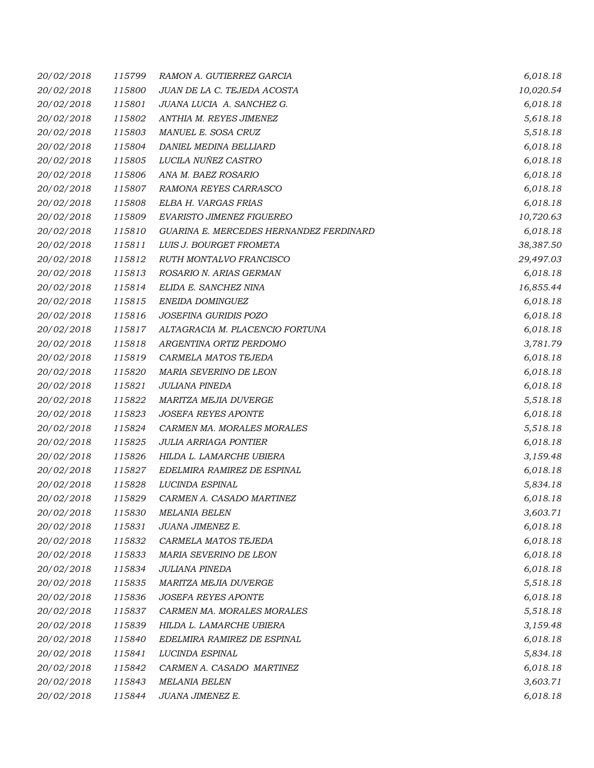| 20/02/2018 | 115799 | RAMON A. GUTIERREZ GARCIA               | 6,018.18  |
|------------|--------|-----------------------------------------|-----------|
| 20/02/2018 | 115800 | JUAN DE LA C. TEJEDA ACOSTA             | 10,020.54 |
| 20/02/2018 | 115801 | JUANA LUCIA A. SANCHEZ G.               | 6,018.18  |
| 20/02/2018 | 115802 | ANTHIA M. REYES JIMENEZ                 | 5,618.18  |
| 20/02/2018 | 115803 | MANUEL E. SOSA CRUZ                     | 5,518.18  |
| 20/02/2018 | 115804 | DANIEL MEDINA BELLIARD                  | 6,018.18  |
| 20/02/2018 | 115805 | LUCILA NUÑEZ CASTRO                     | 6,018.18  |
| 20/02/2018 | 115806 | ANA M. BAEZ ROSARIO                     | 6,018.18  |
| 20/02/2018 | 115807 | RAMONA REYES CARRASCO                   | 6,018.18  |
| 20/02/2018 | 115808 | ELBA H. VARGAS FRIAS                    | 6,018.18  |
| 20/02/2018 | 115809 | EVARISTO JIMENEZ FIGUEREO               | 10,720.63 |
| 20/02/2018 | 115810 | GUARINA E. MERCEDES HERNANDEZ FERDINARD | 6,018.18  |
| 20/02/2018 | 115811 | LUIS J. BOURGET FROMETA                 | 38,387.50 |
| 20/02/2018 | 115812 | RUTH MONTALVO FRANCISCO                 | 29,497.03 |
| 20/02/2018 | 115813 | ROSARIO N. ARIAS GERMAN                 | 6,018.18  |
| 20/02/2018 | 115814 | ELIDA E. SANCHEZ NINA                   | 16,855.44 |
| 20/02/2018 | 115815 | ENEIDA DOMINGUEZ                        | 6,018.18  |
| 20/02/2018 | 115816 | JOSEFINA GURIDIS POZO                   | 6,018.18  |
| 20/02/2018 | 115817 | ALTAGRACIA M. PLACENCIO FORTUNA         | 6,018.18  |
| 20/02/2018 | 115818 | ARGENTINA ORTIZ PERDOMO                 | 3,781.79  |
| 20/02/2018 | 115819 | CARMELA MATOS TEJEDA                    | 6,018.18  |
| 20/02/2018 | 115820 | MARIA SEVERINO DE LEON                  | 6,018.18  |
| 20/02/2018 | 115821 | JULIANA PINEDA                          | 6,018.18  |
| 20/02/2018 | 115822 | MARITZA MEJIA DUVERGE                   | 5,518.18  |
| 20/02/2018 | 115823 | <b>JOSEFA REYES APONTE</b>              | 6,018.18  |
| 20/02/2018 | 115824 | CARMEN MA. MORALES MORALES              | 5,518.18  |
| 20/02/2018 | 115825 | <b>JULIA ARRIAGA PONTIER</b>            | 6,018.18  |
| 20/02/2018 | 115826 | HILDA L. LAMARCHE UBIERA                | 3,159.48  |
| 20/02/2018 | 115827 | EDELMIRA RAMIREZ DE ESPINAL             | 6,018.18  |
| 20/02/2018 | 115828 | LUCINDA ESPINAL                         | 5,834.18  |
| 20/02/2018 | 115829 | CARMEN A. CASADO MARTINEZ               | 6,018.18  |
| 20/02/2018 | 115830 | <b>MELANIA BELEN</b>                    | 3,603.71  |
| 20/02/2018 | 115831 | JUANA JIMENEZ E.                        | 6,018.18  |
| 20/02/2018 | 115832 | CARMELA MATOS TEJEDA                    | 6,018.18  |
| 20/02/2018 | 115833 | MARIA SEVERINO DE LEON                  | 6,018.18  |
| 20/02/2018 | 115834 | <b>JULIANA PINEDA</b>                   | 6,018.18  |
| 20/02/2018 | 115835 | MARITZA MEJIA DUVERGE                   | 5,518.18  |
| 20/02/2018 | 115836 | <b>JOSEFA REYES APONTE</b>              | 6,018.18  |
| 20/02/2018 | 115837 | CARMEN MA. MORALES MORALES              | 5,518.18  |
| 20/02/2018 | 115839 | HILDA L. LAMARCHE UBIERA                | 3,159.48  |
| 20/02/2018 | 115840 | EDELMIRA RAMIREZ DE ESPINAL             | 6,018.18  |
| 20/02/2018 | 115841 | LUCINDA ESPINAL                         | 5,834.18  |
| 20/02/2018 | 115842 | CARMEN A. CASADO MARTINEZ               | 6,018.18  |
| 20/02/2018 | 115843 | <b>MELANIA BELEN</b>                    | 3,603.71  |
| 20/02/2018 | 115844 | JUANA JIMENEZ E.                        | 6,018.18  |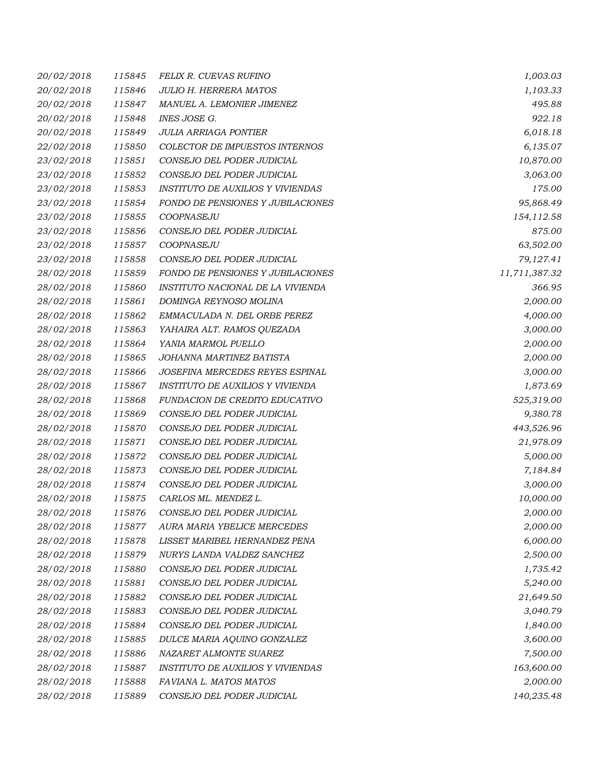| 20/02/2018 | 115845 | FELIX R. CUEVAS RUFINO                   | 1,003.03      |
|------------|--------|------------------------------------------|---------------|
| 20/02/2018 | 115846 | <b>JULIO H. HERRERA MATOS</b>            | 1,103.33      |
| 20/02/2018 | 115847 | MANUEL A. LEMONIER JIMENEZ               | 495.88        |
| 20/02/2018 | 115848 | INES JOSE G.                             | 922.18        |
| 20/02/2018 | 115849 | <b>JULIA ARRIAGA PONTIER</b>             | 6,018.18      |
| 22/02/2018 | 115850 | COLECTOR DE IMPUESTOS INTERNOS           | 6,135.07      |
| 23/02/2018 | 115851 | CONSEJO DEL PODER JUDICIAL               | 10,870.00     |
| 23/02/2018 | 115852 | CONSEJO DEL PODER JUDICIAL               | 3,063.00      |
| 23/02/2018 | 115853 | <b>INSTITUTO DE AUXILIOS Y VIVIENDAS</b> | 175.00        |
| 23/02/2018 | 115854 | FONDO DE PENSIONES Y JUBILACIONES        | 95,868.49     |
| 23/02/2018 | 115855 | COOPNASEJU                               | 154,112.58    |
| 23/02/2018 | 115856 | CONSEJO DEL PODER JUDICIAL               | 875.00        |
| 23/02/2018 | 115857 | COOPNASEJU                               | 63,502.00     |
| 23/02/2018 | 115858 | CONSEJO DEL PODER JUDICIAL               | 79,127.41     |
| 28/02/2018 | 115859 | FONDO DE PENSIONES Y JUBILACIONES        | 11,711,387.32 |
| 28/02/2018 | 115860 | INSTITUTO NACIONAL DE LA VIVIENDA        | 366.95        |
| 28/02/2018 | 115861 | DOMINGA REYNOSO MOLINA                   | 2,000.00      |
| 28/02/2018 | 115862 | EMMACULADA N. DEL ORBE PEREZ             | 4,000.00      |
| 28/02/2018 | 115863 | YAHAIRA ALT. RAMOS QUEZADA               | 3,000.00      |
| 28/02/2018 | 115864 | YANIA MARMOL PUELLO                      | 2,000.00      |
| 28/02/2018 | 115865 | JOHANNA MARTINEZ BATISTA                 | 2,000.00      |
| 28/02/2018 | 115866 | JOSEFINA MERCEDES REYES ESPINAL          | 3,000.00      |
| 28/02/2018 | 115867 | INSTITUTO DE AUXILIOS Y VIVIENDA         | 1,873.69      |
| 28/02/2018 | 115868 | FUNDACION DE CREDITO EDUCATIVO           | 525,319.00    |
| 28/02/2018 | 115869 | CONSEJO DEL PODER JUDICIAL               | 9,380.78      |
| 28/02/2018 | 115870 | CONSEJO DEL PODER JUDICIAL               | 443,526.96    |
| 28/02/2018 | 115871 | CONSEJO DEL PODER JUDICIAL               | 21,978.09     |
| 28/02/2018 | 115872 | CONSEJO DEL PODER JUDICIAL               | 5,000.00      |
| 28/02/2018 | 115873 | CONSEJO DEL PODER JUDICIAL               | 7,184.84      |
| 28/02/2018 | 115874 | CONSEJO DEL PODER JUDICIAL               | 3,000.00      |
| 28/02/2018 | 115875 | CARLOS ML. MENDEZ L.                     | 10,000.00     |
| 28/02/2018 | 115876 | CONSEJO DEL PODER JUDICIAL               | 2,000.00      |
| 28/02/2018 | 115877 | AURA MARIA YBELICE MERCEDES              | 2,000.00      |
| 28/02/2018 | 115878 | LISSET MARIBEL HERNANDEZ PENA            | 6,000.00      |
| 28/02/2018 | 115879 | NURYS LANDA VALDEZ SANCHEZ               | 2,500.00      |
| 28/02/2018 | 115880 | CONSEJO DEL PODER JUDICIAL               | 1,735.42      |
| 28/02/2018 | 115881 | CONSEJO DEL PODER JUDICIAL               | 5,240.00      |
| 28/02/2018 | 115882 | CONSEJO DEL PODER JUDICIAL               | 21,649.50     |
| 28/02/2018 | 115883 | CONSEJO DEL PODER JUDICIAL               | 3,040.79      |
| 28/02/2018 | 115884 | CONSEJO DEL PODER JUDICIAL               | 1,840.00      |
| 28/02/2018 | 115885 | DULCE MARIA AQUINO GONZALEZ              | 3,600.00      |
| 28/02/2018 | 115886 | NAZARET ALMONTE SUAREZ                   | 7,500.00      |
| 28/02/2018 | 115887 | <b>INSTITUTO DE AUXILIOS Y VIVIENDAS</b> | 163,600.00    |
| 28/02/2018 | 115888 | FAVIANA L. MATOS MATOS                   | 2,000.00      |
| 28/02/2018 | 115889 | CONSEJO DEL PODER JUDICIAL               | 140,235.48    |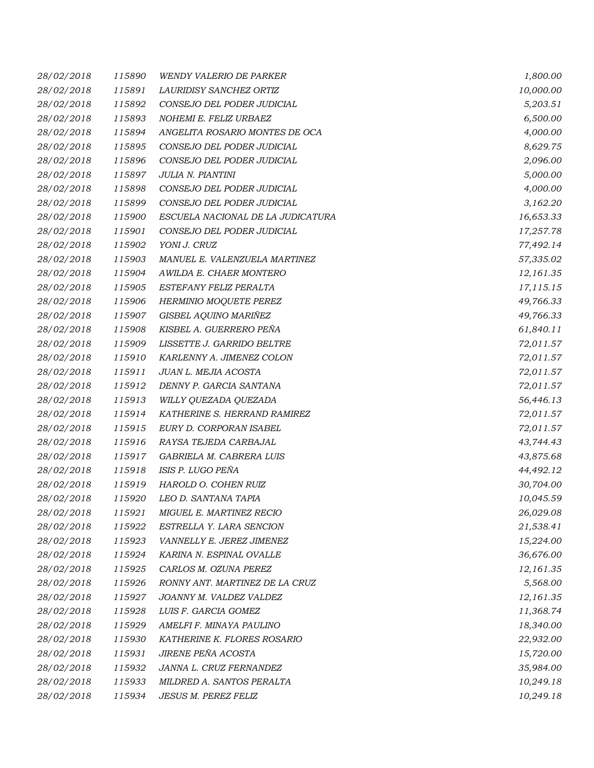| 28/02/2018 | 115890 | <b>WENDY VALERIO DE PARKER</b>    | 1,800.00  |
|------------|--------|-----------------------------------|-----------|
| 28/02/2018 | 115891 | LAURIDISY SANCHEZ ORTIZ           | 10,000.00 |
| 28/02/2018 | 115892 | CONSEJO DEL PODER JUDICIAL        | 5,203.51  |
| 28/02/2018 | 115893 | NOHEMI E. FELIZ URBAEZ            | 6,500.00  |
| 28/02/2018 | 115894 | ANGELITA ROSARIO MONTES DE OCA    | 4,000.00  |
| 28/02/2018 | 115895 | CONSEJO DEL PODER JUDICIAL        | 8,629.75  |
| 28/02/2018 | 115896 | CONSEJO DEL PODER JUDICIAL        | 2,096.00  |
| 28/02/2018 | 115897 | JULIA N. PIANTINI                 | 5,000.00  |
| 28/02/2018 | 115898 | CONSEJO DEL PODER JUDICIAL        | 4,000.00  |
| 28/02/2018 | 115899 | CONSEJO DEL PODER JUDICIAL        | 3,162.20  |
| 28/02/2018 | 115900 | ESCUELA NACIONAL DE LA JUDICATURA | 16,653.33 |
| 28/02/2018 | 115901 | CONSEJO DEL PODER JUDICIAL        | 17,257.78 |
| 28/02/2018 | 115902 | YONI J. CRUZ                      | 77,492.14 |
| 28/02/2018 | 115903 | MANUEL E. VALENZUELA MARTINEZ     | 57,335.02 |
| 28/02/2018 | 115904 | AWILDA E. CHAER MONTERO           | 12,161.35 |
| 28/02/2018 | 115905 | ESTEFANY FELIZ PERALTA            | 17,115.15 |
| 28/02/2018 | 115906 | HERMINIO MOQUETE PEREZ            | 49,766.33 |
| 28/02/2018 | 115907 | GISBEL AQUINO MARIÑEZ             | 49,766.33 |
| 28/02/2018 | 115908 | KISBEL A. GUERRERO PEÑA           | 61,840.11 |
| 28/02/2018 | 115909 | LISSETTE J. GARRIDO BELTRE        | 72,011.57 |
| 28/02/2018 | 115910 | KARLENNY A. JIMENEZ COLON         | 72,011.57 |
| 28/02/2018 | 115911 | JUAN L. MEJIA ACOSTA              | 72,011.57 |
| 28/02/2018 | 115912 | DENNY P. GARCIA SANTANA           | 72,011.57 |
| 28/02/2018 | 115913 | WILLY QUEZADA QUEZADA             | 56,446.13 |
| 28/02/2018 | 115914 | KATHERINE S. HERRAND RAMIREZ      | 72,011.57 |
| 28/02/2018 | 115915 | EURY D. CORPORAN ISABEL           | 72,011.57 |
| 28/02/2018 | 115916 | RAYSA TEJEDA CARBAJAL             | 43,744.43 |
| 28/02/2018 | 115917 | GABRIELA M. CABRERA LUIS          | 43,875.68 |
| 28/02/2018 | 115918 | ISIS P. LUGO PEÑA                 | 44,492.12 |
| 28/02/2018 | 115919 | HAROLD O. COHEN RUIZ              | 30,704.00 |
| 28/02/2018 | 115920 | LEO D. SANTANA TAPIA              | 10,045.59 |
| 28/02/2018 | 115921 | MIGUEL E. MARTINEZ RECIO          | 26,029.08 |
| 28/02/2018 | 115922 | ESTRELLA Y. LARA SENCION          | 21,538.41 |
| 28/02/2018 | 115923 | VANNELLY E. JEREZ JIMENEZ         | 15,224.00 |
| 28/02/2018 | 115924 | KARINA N. ESPINAL OVALLE          | 36,676.00 |
| 28/02/2018 | 115925 | CARLOS M. OZUNA PEREZ             | 12,161.35 |
| 28/02/2018 | 115926 | RONNY ANT. MARTINEZ DE LA CRUZ    | 5,568.00  |
| 28/02/2018 | 115927 | JOANNY M. VALDEZ VALDEZ           | 12,161.35 |
| 28/02/2018 | 115928 | LUIS F. GARCIA GOMEZ              | 11,368.74 |
| 28/02/2018 | 115929 | AMELFI F. MINAYA PAULINO          | 18,340.00 |
| 28/02/2018 | 115930 | KATHERINE K. FLORES ROSARIO       | 22,932.00 |
| 28/02/2018 | 115931 | JIRENE PEÑA ACOSTA                | 15,720.00 |
| 28/02/2018 | 115932 | JANNA L. CRUZ FERNANDEZ           | 35,984.00 |
| 28/02/2018 | 115933 | MILDRED A. SANTOS PERALTA         | 10,249.18 |
| 28/02/2018 | 115934 | JESUS M. PEREZ FELIZ              | 10,249.18 |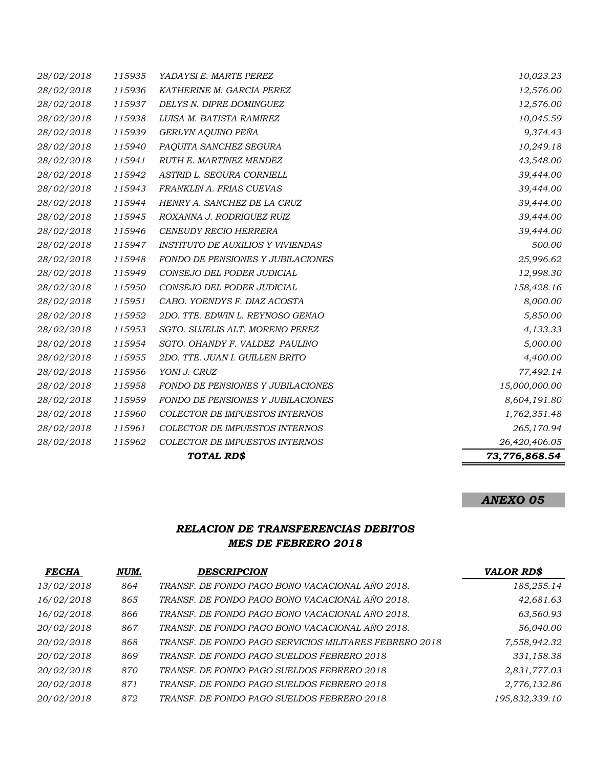|            |        | TOTAL RD\$                               | 73,776,868.54 |
|------------|--------|------------------------------------------|---------------|
| 28/02/2018 | 115962 | COLECTOR DE IMPUESTOS INTERNOS           | 26,420,406.05 |
| 28/02/2018 | 115961 | COLECTOR DE IMPUESTOS INTERNOS           | 265,170.94    |
| 28/02/2018 | 115960 | COLECTOR DE IMPUESTOS INTERNOS           | 1,762,351.48  |
| 28/02/2018 | 115959 | <b>FONDO DE PENSIONES Y JUBILACIONES</b> | 8,604,191.80  |
| 28/02/2018 | 115958 | <b>FONDO DE PENSIONES Y JUBILACIONES</b> | 15,000,000.00 |
| 28/02/2018 | 115956 | YONI J. CRUZ                             | 77,492.14     |
| 28/02/2018 | 115955 | 2DO. TTE. JUAN I. GUILLEN BRITO          | 4,400.00      |
| 28/02/2018 | 115954 | SGTO. OHANDY F. VALDEZ PAULINO           | 5,000.00      |
| 28/02/2018 | 115953 | SGTO. SUJELIS ALT. MORENO PEREZ          | 4,133.33      |
| 28/02/2018 | 115952 | 2DO. TTE. EDWIN L. REYNOSO GENAO         | 5,850.00      |
| 28/02/2018 | 115951 | CABO. YOENDYS F. DIAZ ACOSTA             | 8,000.00      |
| 28/02/2018 | 115950 | CONSEJO DEL PODER JUDICIAL               | 158,428.16    |
| 28/02/2018 | 115949 | CONSEJO DEL PODER JUDICIAL               | 12,998.30     |
| 28/02/2018 | 115948 | FONDO DE PENSIONES Y JUBILACIONES        | 25,996.62     |
| 28/02/2018 | 115947 | <b>INSTITUTO DE AUXILIOS Y VIVIENDAS</b> | 500.00        |
| 28/02/2018 | 115946 | <b>CENEUDY RECIO HERRERA</b>             | 39,444.00     |
| 28/02/2018 | 115945 | ROXANNA J. RODRIGUEZ RUIZ                | 39,444.00     |
| 28/02/2018 | 115944 | HENRY A. SANCHEZ DE LA CRUZ              | 39,444.00     |
| 28/02/2018 | 115943 | FRANKLIN A. FRIAS CUEVAS                 | 39,444.00     |
| 28/02/2018 | 115942 | ASTRID L. SEGURA CORNIELL                | 39,444.00     |
| 28/02/2018 | 115941 | RUTH E. MARTINEZ MENDEZ                  | 43,548.00     |
| 28/02/2018 | 115940 | PAQUITA SANCHEZ SEGURA                   | 10,249.18     |
| 28/02/2018 | 115939 | GERLYN AQUINO PEÑA                       | 9,374.43      |
| 28/02/2018 | 115938 | LUISA M. BATISTA RAMIREZ                 | 10,045.59     |
| 28/02/2018 | 115937 | DELYS N. DIPRE DOMINGUEZ                 | 12,576.00     |
| 28/02/2018 | 115936 | KATHERINE M. GARCIA PEREZ                | 12,576.00     |
| 28/02/2018 | 115935 | YADAYSI E. MARTE PEREZ                   | 10,023.23     |

## *RELACION DE TRANSFERENCIAS DEBITOS MES DE FEBRERO 2018*

| <b>FECHA</b> | NUM. | <b>DESCRIPCION</b>                                     | <b>VALOR RD\$</b> |
|--------------|------|--------------------------------------------------------|-------------------|
| 13/02/2018   | 864  | TRANSF. DE FONDO PAGO BONO VACACIONAL AÑO 2018.        | 185,255.14        |
| 16/02/2018   | 865  | TRANSF. DE FONDO PAGO BONO VACACIONAL AÑO 2018.        | 42,681.63         |
| 16/02/2018   | 866  | TRANSF. DE FONDO PAGO BONO VACACIONAL AÑO 2018.        | 63,560.93         |
| 20/02/2018   | 867  | TRANSF. DE FONDO PAGO BONO VACACIONAL AÑO 2018.        | 56,040.00         |
| 20/02/2018   | 868  | TRANSF. DE FONDO PAGO SERVICIOS MILITARES FEBRERO 2018 | 7,558,942.32      |
| 20/02/2018   | 869  | TRANSF. DE FONDO PAGO SUELDOS FEBRERO 2018             | 331,158.38        |
| 20/02/2018   | 870  | TRANSF. DE FONDO PAGO SUELDOS FEBRERO 2018             | 2,831,777.03      |
| 20/02/2018   | 871  | TRANSF. DE FONDO PAGO SUELDOS FEBRERO 2018             | 2,776,132.86      |
| 20/02/2018   | 872  | TRANSF. DE FONDO PAGO SUELDOS FEBRERO 2018             | 195,832,339.10    |